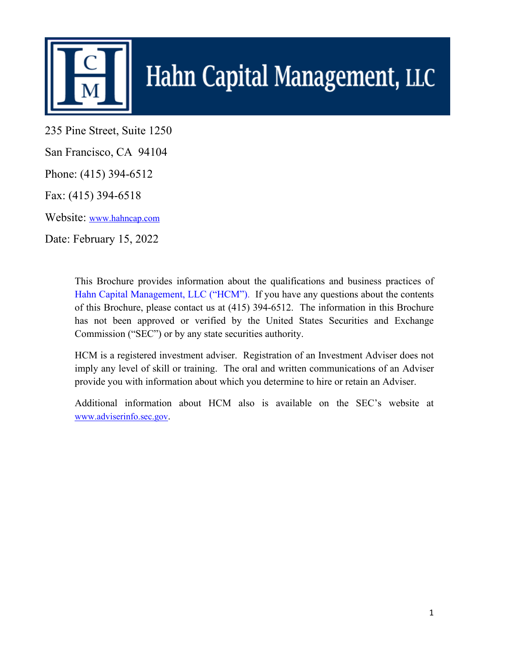

# Hahn Capital Management, LLC

235 Pine Street, Suite 1250

San Francisco, CA 94104

Phone: (415) 394-6512

Fax: (415) 394-6518

Website: [www.hahncap.com](http://www.hahncap.com/)

Date: February 15, 2022

This Brochure provides information about the qualifications and business practices of Hahn Capital Management, LLC ("HCM"). If you have any questions about the contents of this Brochure, please contact us at (415) 394-6512. The information in this Brochure has not been approved or verified by the United States Securities and Exchange Commission ("SEC") or by any state securities authority.

HCM is a registered investment adviser. Registration of an Investment Adviser does not imply any level of skill or training. The oral and written communications of an Adviser provide you with information about which you determine to hire or retain an Adviser.

Additional information about HCM also is available on the SEC's website at [www.adviserinfo.sec.gov.](http://www.adviserinfo.sec.gov/)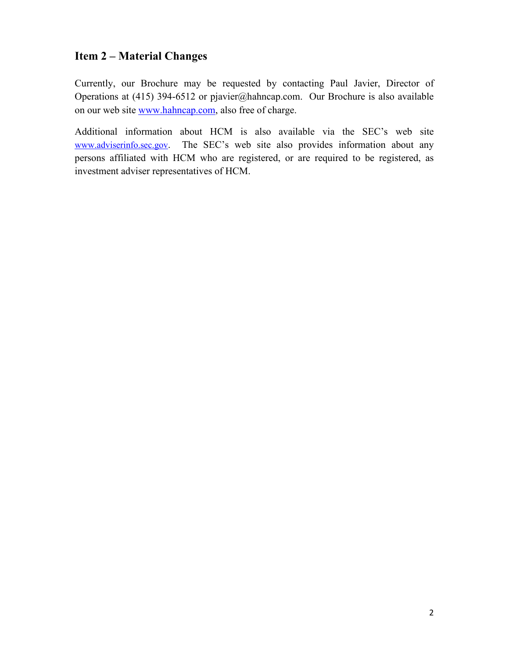# **Item 2 – Material Changes**

Currently, our Brochure may be requested by contacting Paul Javier, Director of Operations at (415) 394-6512 or pjavier@hahncap.com. Our Brochure is also available on our web site www.hahncap.com, also free of charge.

Additional information about HCM is also available via the SEC's web site [www.adviserinfo.sec.gov.](http://www.adviserinfo.sec.gov/) The SEC's web site also provides information about any persons affiliated with HCM who are registered, or are required to be registered, as investment adviser representatives of HCM.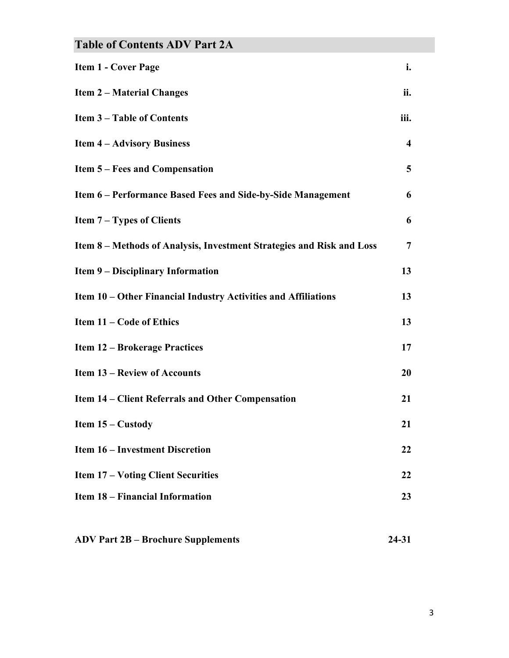| <b>Table of Contents ADV Part 2A</b>                                  |                         |
|-----------------------------------------------------------------------|-------------------------|
| <b>Item 1 - Cover Page</b>                                            | i.                      |
| <b>Item 2 – Material Changes</b>                                      | ii.                     |
| <b>Item 3-Table of Contents</b>                                       | iii.                    |
| <b>Item 4 – Advisory Business</b>                                     | $\overline{\mathbf{4}}$ |
| <b>Item 5 – Fees and Compensation</b>                                 | 5                       |
| Item 6 – Performance Based Fees and Side-by-Side Management           | 6                       |
| <b>Item <math>7 - Types</math> of Clients</b>                         | 6                       |
| Item 8 - Methods of Analysis, Investment Strategies and Risk and Loss | $\overline{7}$          |
| <b>Item 9 – Disciplinary Information</b>                              | 13                      |
| Item 10 – Other Financial Industry Activities and Affiliations        | 13                      |
| Item 11 – Code of Ethics                                              | 13                      |
| <b>Item 12 – Brokerage Practices</b>                                  | 17                      |
| <b>Item 13 - Review of Accounts</b>                                   | 20                      |
| Item 14 – Client Referrals and Other Compensation                     | 21                      |
| Item $15 -$ Custody                                                   | 21                      |
| <b>Item 16 – Investment Discretion</b>                                | 22                      |
| <b>Item 17 – Voting Client Securities</b>                             | 22                      |
| <b>Item 18 – Financial Information</b>                                | 23                      |
|                                                                       |                         |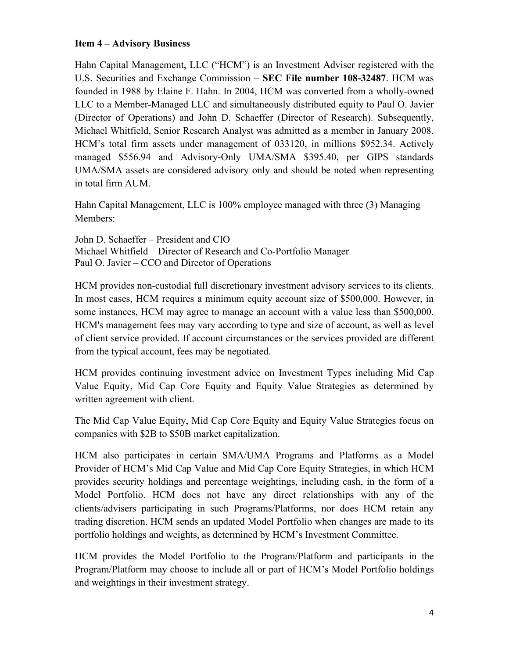## **Item 4 – Advisory Business**

Hahn Capital Management, LLC ("HCM") is an Investment Adviser registered with the U.S. Securities and Exchange Commission – **SEC File number 108-32487**. HCM was founded in 1988 by Elaine F. Hahn. In 2004, HCM was converted from a wholly-owned LLC to a Member-Managed LLC and simultaneously distributed equity to Paul O. Javier (Director of Operations) and John D. Schaeffer (Director of Research). Subsequently, Michael Whitfield, Senior Research Analyst was admitted as a member in January 2008. HCM's total firm assets under management of 033120, in millions \$952.34. Actively managed \$556.94 and Advisory-Only UMA/SMA \$395.40, per GIPS standards UMA/SMA assets are considered advisory only and should be noted when representing in total firm AUM.

Hahn Capital Management, LLC is 100% employee managed with three (3) Managing Members:

John D. Schaeffer – President and CIO Michael Whitfield – Director of Research and Co-Portfolio Manager Paul O. Javier – CCO and Director of Operations

HCM provides non-custodial full discretionary investment advisory services to its clients. In most cases, HCM requires a minimum equity account size of \$500,000. However, in some instances, HCM may agree to manage an account with a value less than \$500,000. HCM's management fees may vary according to type and size of account, as well as level of client service provided. If account circumstances or the services provided are different from the typical account, fees may be negotiated.

HCM provides continuing investment advice on Investment Types including Mid Cap Value Equity, Mid Cap Core Equity and Equity Value Strategies as determined by written agreement with client.

The Mid Cap Value Equity, Mid Cap Core Equity and Equity Value Strategies focus on companies with \$2B to \$50B market capitalization.

HCM also participates in certain SMA/UMA Programs and Platforms as a Model Provider of HCM's Mid Cap Value and Mid Cap Core Equity Strategies, in which HCM provides security holdings and percentage weightings, including cash, in the form of a Model Portfolio. HCM does not have any direct relationships with any of the clients/advisers participating in such Programs/Platforms, nor does HCM retain any trading discretion. HCM sends an updated Model Portfolio when changes are made to its portfolio holdings and weights, as determined by HCM's Investment Committee.

HCM provides the Model Portfolio to the Program/Platform and participants in the Program/Platform may choose to include all or part of HCM's Model Portfolio holdings and weightings in their investment strategy.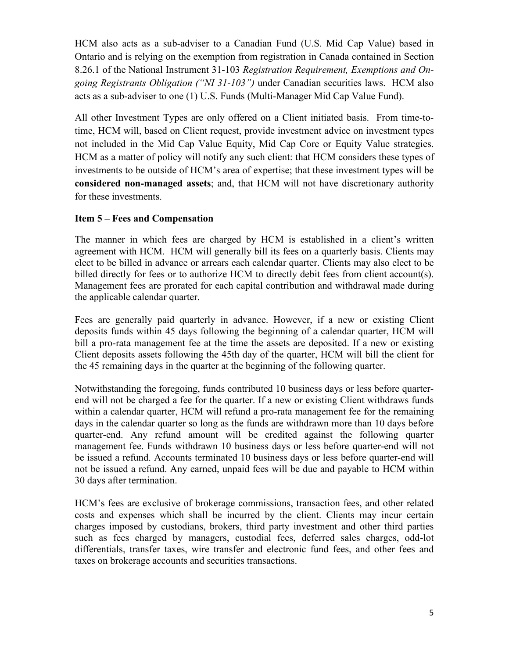HCM also acts as a sub-adviser to a Canadian Fund (U.S. Mid Cap Value) based in Ontario and is relying on the exemption from registration in Canada contained in Section 8.26.1 of the National Instrument 31-103 *Registration Requirement, Exemptions and Ongoing Registrants Obligation ("NI 31-103")* under Canadian securities laws. HCM also acts as a sub-adviser to one (1) U.S. Funds (Multi-Manager Mid Cap Value Fund).

All other Investment Types are only offered on a Client initiated basis. From time-totime, HCM will, based on Client request, provide investment advice on investment types not included in the Mid Cap Value Equity, Mid Cap Core or Equity Value strategies. HCM as a matter of policy will notify any such client: that HCM considers these types of investments to be outside of HCM's area of expertise; that these investment types will be **considered non-managed assets**; and, that HCM will not have discretionary authority for these investments.

## **Item 5 – Fees and Compensation**

The manner in which fees are charged by HCM is established in a client's written agreement with HCM. HCM will generally bill its fees on a quarterly basis. Clients may elect to be billed in advance or arrears each calendar quarter. Clients may also elect to be billed directly for fees or to authorize HCM to directly debit fees from client account(s). Management fees are prorated for each capital contribution and withdrawal made during the applicable calendar quarter.

Fees are generally paid quarterly in advance. However, if a new or existing Client deposits funds within 45 days following the beginning of a calendar quarter, HCM will bill a pro-rata management fee at the time the assets are deposited. If a new or existing Client deposits assets following the 45th day of the quarter, HCM will bill the client for the 45 remaining days in the quarter at the beginning of the following quarter.

Notwithstanding the foregoing, funds contributed 10 business days or less before quarterend will not be charged a fee for the quarter. If a new or existing Client withdraws funds within a calendar quarter, HCM will refund a pro-rata management fee for the remaining days in the calendar quarter so long as the funds are withdrawn more than 10 days before quarter-end. Any refund amount will be credited against the following quarter management fee. Funds withdrawn 10 business days or less before quarter-end will not be issued a refund. Accounts terminated 10 business days or less before quarter-end will not be issued a refund. Any earned, unpaid fees will be due and payable to HCM within 30 days after termination.

HCM's fees are exclusive of brokerage commissions, transaction fees, and other related costs and expenses which shall be incurred by the client. Clients may incur certain charges imposed by custodians, brokers, third party investment and other third parties such as fees charged by managers, custodial fees, deferred sales charges, odd-lot differentials, transfer taxes, wire transfer and electronic fund fees, and other fees and taxes on brokerage accounts and securities transactions.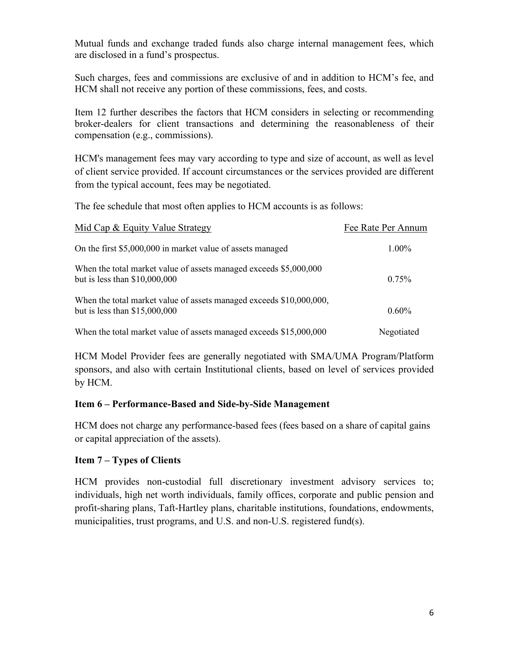Mutual funds and exchange traded funds also charge internal management fees, which are disclosed in a fund's prospectus.

Such charges, fees and commissions are exclusive of and in addition to HCM's fee, and HCM shall not receive any portion of these commissions, fees, and costs.

Item 12 further describes the factors that HCM considers in selecting or recommending broker-dealers for client transactions and determining the reasonableness of their compensation (e.g., commissions).

HCM's management fees may vary according to type and size of account, as well as level of client service provided. If account circumstances or the services provided are different from the typical account, fees may be negotiated.

The fee schedule that most often applies to HCM accounts is as follows:

| Mid Cap & Equity Value Strategy                                                                       | Fee Rate Per Annum |
|-------------------------------------------------------------------------------------------------------|--------------------|
| On the first \$5,000,000 in market value of assets managed                                            | 1.00%              |
| When the total market value of assets managed exceeds \$5,000,000<br>but is less than $$10,000,000$   | 0.75%              |
| When the total market value of assets managed exceeds \$10,000,000,<br>but is less than $$15,000,000$ | 0.60%              |
| When the total market value of assets managed exceeds \$15,000,000                                    | Negotiated         |

HCM Model Provider fees are generally negotiated with SMA/UMA Program/Platform sponsors, and also with certain Institutional clients, based on level of services provided by HCM.

## **Item 6 – Performance-Based and Side-by-Side Management**

HCM does not charge any performance-based fees (fees based on a share of capital gains or capital appreciation of the assets).

## **Item 7 – Types of Clients**

HCM provides non-custodial full discretionary investment advisory services to; individuals, high net worth individuals, family offices, corporate and public pension and profit-sharing plans, Taft-Hartley plans, charitable institutions, foundations, endowments, municipalities, trust programs, and U.S. and non-U.S. registered fund(s).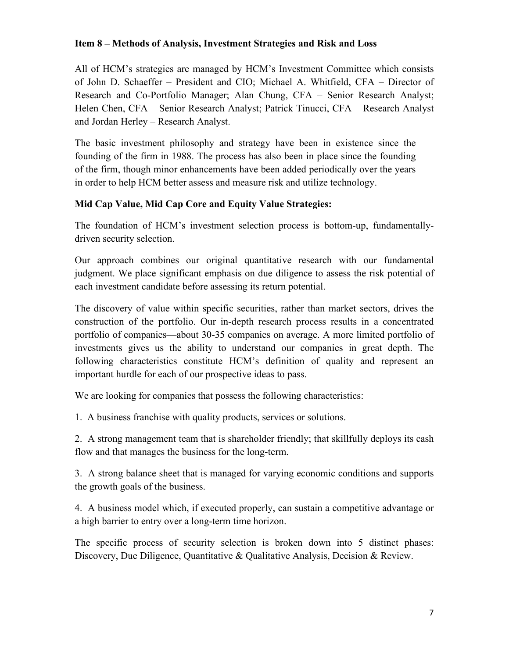## **Item 8 – Methods of Analysis, Investment Strategies and Risk and Loss**

All of HCM's strategies are managed by HCM's Investment Committee which consists of John D. Schaeffer – President and CIO; Michael A. Whitfield, CFA – Director of Research and Co-Portfolio Manager; Alan Chung, CFA – Senior Research Analyst; Helen Chen, CFA – Senior Research Analyst; Patrick Tinucci, CFA – Research Analyst and Jordan Herley – Research Analyst.

The basic investment philosophy and strategy have been in existence since the founding of the firm in 1988. The process has also been in place since the founding of the firm, though minor enhancements have been added periodically over the years in order to help HCM better assess and measure risk and utilize technology.

## **Mid Cap Value, Mid Cap Core and Equity Value Strategies:**

The foundation of HCM's investment selection process is bottom-up, fundamentallydriven security selection.

Our approach combines our original quantitative research with our fundamental judgment. We place significant emphasis on due diligence to assess the risk potential of each investment candidate before assessing its return potential.

The discovery of value within specific securities, rather than market sectors, drives the construction of the portfolio. Our in-depth research process results in a concentrated portfolio of companies—about 30-35 companies on average. A more limited portfolio of investments gives us the ability to understand our companies in great depth. The following characteristics constitute HCM's definition of quality and represent an important hurdle for each of our prospective ideas to pass.

We are looking for companies that possess the following characteristics:

1. A business franchise with quality products, services or solutions.

2. A strong management team that is shareholder friendly; that skillfully deploys its cash flow and that manages the business for the long-term.

3. A strong balance sheet that is managed for varying economic conditions and supports the growth goals of the business.

4. A business model which, if executed properly, can sustain a competitive advantage or a high barrier to entry over a long-term time horizon.

The specific process of security selection is broken down into 5 distinct phases: Discovery, Due Diligence, Quantitative & Qualitative Analysis, Decision & Review.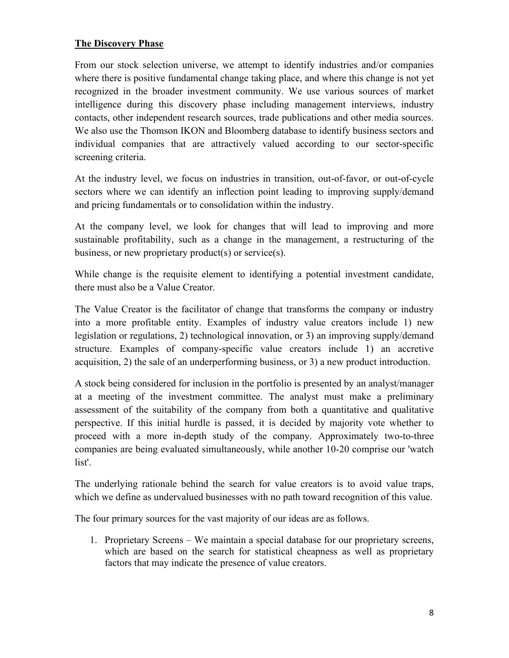## **The Discovery Phase**

From our stock selection universe, we attempt to identify industries and/or companies where there is positive fundamental change taking place, and where this change is not yet recognized in the broader investment community. We use various sources of market intelligence during this discovery phase including management interviews, industry contacts, other independent research sources, trade publications and other media sources. We also use the Thomson IKON and Bloomberg database to identify business sectors and individual companies that are attractively valued according to our sector-specific screening criteria.

At the industry level, we focus on industries in transition, out-of-favor, or out-of-cycle sectors where we can identify an inflection point leading to improving supply/demand and pricing fundamentals or to consolidation within the industry.

At the company level, we look for changes that will lead to improving and more sustainable profitability, such as a change in the management, a restructuring of the business, or new proprietary product(s) or service(s).

While change is the requisite element to identifying a potential investment candidate, there must also be a Value Creator.

The Value Creator is the facilitator of change that transforms the company or industry into a more profitable entity. Examples of industry value creators include 1) new legislation or regulations, 2) technological innovation, or 3) an improving supply/demand structure. Examples of company-specific value creators include 1) an accretive acquisition, 2) the sale of an underperforming business, or 3) a new product introduction.

A stock being considered for inclusion in the portfolio is presented by an analyst/manager at a meeting of the investment committee. The analyst must make a preliminary assessment of the suitability of the company from both a quantitative and qualitative perspective. If this initial hurdle is passed, it is decided by majority vote whether to proceed with a more in-depth study of the company. Approximately two-to-three companies are being evaluated simultaneously, while another 10-20 comprise our 'watch list'.

The underlying rationale behind the search for value creators is to avoid value traps, which we define as undervalued businesses with no path toward recognition of this value.

The four primary sources for the vast majority of our ideas are as follows.

1. Proprietary Screens – We maintain a special database for our proprietary screens, which are based on the search for statistical cheapness as well as proprietary factors that may indicate the presence of value creators.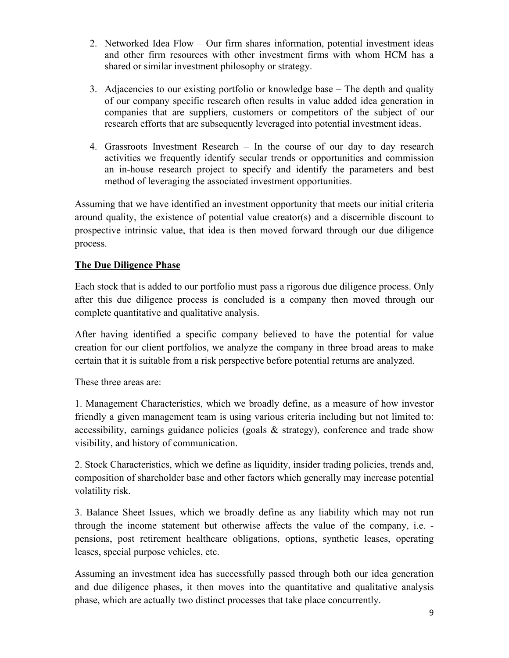- 2. Networked Idea Flow Our firm shares information, potential investment ideas and other firm resources with other investment firms with whom HCM has a shared or similar investment philosophy or strategy.
- 3. Adjacencies to our existing portfolio or knowledge base The depth and quality of our company specific research often results in value added idea generation in companies that are suppliers, customers or competitors of the subject of our research efforts that are subsequently leveraged into potential investment ideas.
- 4. Grassroots Investment Research In the course of our day to day research activities we frequently identify secular trends or opportunities and commission an in-house research project to specify and identify the parameters and best method of leveraging the associated investment opportunities.

Assuming that we have identified an investment opportunity that meets our initial criteria around quality, the existence of potential value creator(s) and a discernible discount to prospective intrinsic value, that idea is then moved forward through our due diligence process.

## **The Due Diligence Phase**

Each stock that is added to our portfolio must pass a rigorous due diligence process. Only after this due diligence process is concluded is a company then moved through our complete quantitative and qualitative analysis.

After having identified a specific company believed to have the potential for value creation for our client portfolios, we analyze the company in three broad areas to make certain that it is suitable from a risk perspective before potential returns are analyzed.

These three areas are:

1. Management Characteristics, which we broadly define, as a measure of how investor friendly a given management team is using various criteria including but not limited to: accessibility, earnings guidance policies (goals & strategy), conference and trade show visibility, and history of communication.

2. Stock Characteristics, which we define as liquidity, insider trading policies, trends and, composition of shareholder base and other factors which generally may increase potential volatility risk.

3. Balance Sheet Issues, which we broadly define as any liability which may not run through the income statement but otherwise affects the value of the company, i.e. pensions, post retirement healthcare obligations, options, synthetic leases, operating leases, special purpose vehicles, etc.

Assuming an investment idea has successfully passed through both our idea generation and due diligence phases, it then moves into the quantitative and qualitative analysis phase, which are actually two distinct processes that take place concurrently.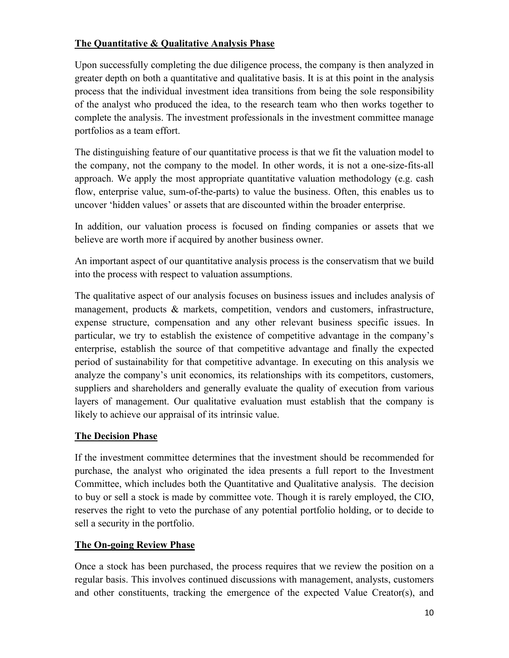## **The Quantitative & Qualitative Analysis Phase**

Upon successfully completing the due diligence process, the company is then analyzed in greater depth on both a quantitative and qualitative basis. It is at this point in the analysis process that the individual investment idea transitions from being the sole responsibility of the analyst who produced the idea, to the research team who then works together to complete the analysis. The investment professionals in the investment committee manage portfolios as a team effort.

The distinguishing feature of our quantitative process is that we fit the valuation model to the company, not the company to the model. In other words, it is not a one-size-fits-all approach. We apply the most appropriate quantitative valuation methodology (e.g. cash flow, enterprise value, sum-of-the-parts) to value the business. Often, this enables us to uncover 'hidden values' or assets that are discounted within the broader enterprise.

In addition, our valuation process is focused on finding companies or assets that we believe are worth more if acquired by another business owner.

An important aspect of our quantitative analysis process is the conservatism that we build into the process with respect to valuation assumptions.

The qualitative aspect of our analysis focuses on business issues and includes analysis of management, products & markets, competition, vendors and customers, infrastructure, expense structure, compensation and any other relevant business specific issues. In particular, we try to establish the existence of competitive advantage in the company's enterprise, establish the source of that competitive advantage and finally the expected period of sustainability for that competitive advantage. In executing on this analysis we analyze the company's unit economics, its relationships with its competitors, customers, suppliers and shareholders and generally evaluate the quality of execution from various layers of management. Our qualitative evaluation must establish that the company is likely to achieve our appraisal of its intrinsic value.

## **The Decision Phase**

If the investment committee determines that the investment should be recommended for purchase, the analyst who originated the idea presents a full report to the Investment Committee, which includes both the Quantitative and Qualitative analysis. The decision to buy or sell a stock is made by committee vote. Though it is rarely employed, the CIO, reserves the right to veto the purchase of any potential portfolio holding, or to decide to sell a security in the portfolio.

# **The On-going Review Phase**

Once a stock has been purchased, the process requires that we review the position on a regular basis. This involves continued discussions with management, analysts, customers and other constituents, tracking the emergence of the expected Value Creator(s), and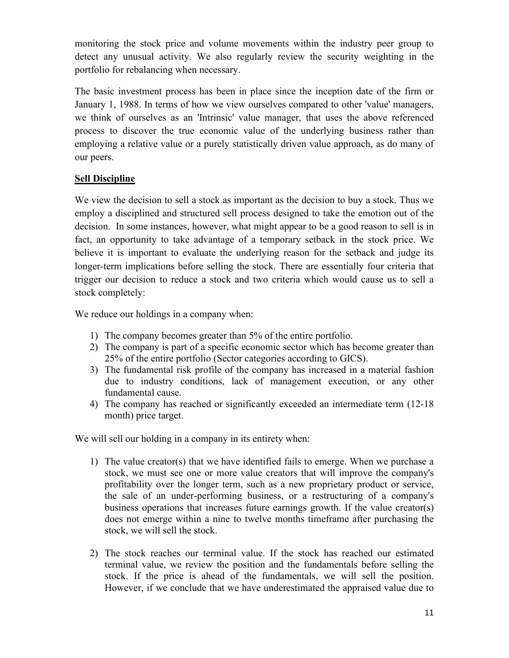monitoring the stock price and volume movements within the industry peer group to detect any unusual activity. We also regularly review the security weighting in the portfolio for rebalancing when necessary.

The basic investment process has been in place since the inception date of the firm or January 1, 1988. In terms of how we view ourselves compared to other 'value' managers, we think of ourselves as an 'Intrinsic' value manager, that uses the above referenced process to discover the true economic value of the underlying business rather than employing a relative value or a purely statistically driven value approach, as do many of our peers.

## **Sell Discipline**

We view the decision to sell a stock as important as the decision to buy a stock. Thus we employ a disciplined and structured sell process designed to take the emotion out of the decision. In some instances, however, what might appear to be a good reason to sell is in fact, an opportunity to take advantage of a temporary setback in the stock price. We believe it is important to evaluate the underlying reason for the setback and judge its longer-term implications before selling the stock. There are essentially four criteria that trigger our decision to reduce a stock and two criteria which would cause us to sell a stock completely:

We reduce our holdings in a company when:

- 1) The company becomes greater than 5% of the entire portfolio.
- 2) The company is part of a specific economic sector which has become greater than 25% of the entire portfolio (Sector categories according to GICS).
- 3) The fundamental risk profile of the company has increased in a material fashion due to industry conditions, lack of management execution, or any other fundamental cause.
- 4) The company has reached or significantly exceeded an intermediate term (12-18 month) price target.

We will sell our holding in a company in its entirety when:

- 1) The value creator(s) that we have identified fails to emerge. When we purchase a stock, we must see one or more value creators that will improve the company's profitability over the longer term, such as a new proprietary product or service, the sale of an under-performing business, or a restructuring of a company's business operations that increases future earnings growth. If the value creator(s) does not emerge within a nine to twelve months timeframe after purchasing the stock, we will sell the stock.
- 2) The stock reaches our terminal value. If the stock has reached our estimated terminal value, we review the position and the fundamentals before selling the stock. If the price is ahead of the fundamentals, we will sell the position. However, if we conclude that we have underestimated the appraised value due to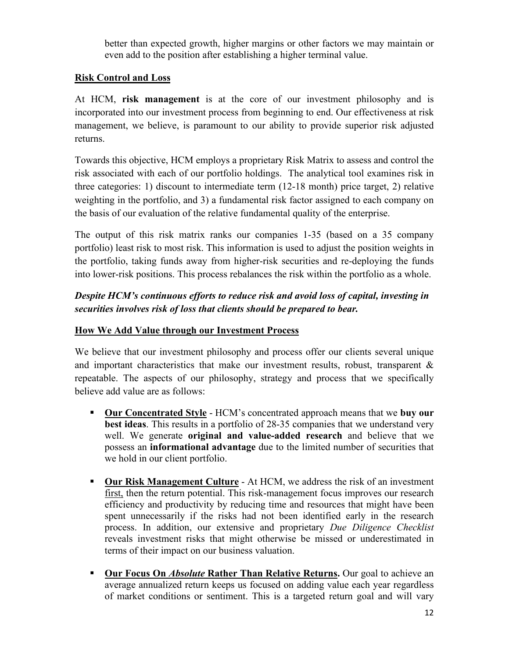better than expected growth, higher margins or other factors we may maintain or even add to the position after establishing a higher terminal value.

## **Risk Control and Loss**

At HCM, **risk management** is at the core of our investment philosophy and is incorporated into our investment process from beginning to end. Our effectiveness at risk management, we believe, is paramount to our ability to provide superior risk adjusted returns.

Towards this objective, HCM employs a proprietary Risk Matrix to assess and control the risk associated with each of our portfolio holdings. The analytical tool examines risk in three categories: 1) discount to intermediate term (12-18 month) price target, 2) relative weighting in the portfolio, and 3) a fundamental risk factor assigned to each company on the basis of our evaluation of the relative fundamental quality of the enterprise.

The output of this risk matrix ranks our companies 1-35 (based on a 35 company portfolio) least risk to most risk. This information is used to adjust the position weights in the portfolio, taking funds away from higher-risk securities and re-deploying the funds into lower-risk positions. This process rebalances the risk within the portfolio as a whole.

# *Despite HCM's continuous efforts to reduce risk and avoid loss of capital, investing in securities involves risk of loss that clients should be prepared to bear.*

## **How We Add Value through our Investment Process**

We believe that our investment philosophy and process offer our clients several unique and important characteristics that make our investment results, robust, transparent & repeatable. The aspects of our philosophy, strategy and process that we specifically believe add value are as follows:

- **Our Concentrated Style** HCM's concentrated approach means that we **buy our best ideas**. This results in a portfolio of 28-35 companies that we understand very well. We generate **original and value-added research** and believe that we possess an **informational advantage** due to the limited number of securities that we hold in our client portfolio.
- **Our Risk Management Culture** At HCM, we address the risk of an investment first, then the return potential. This risk-management focus improves our research efficiency and productivity by reducing time and resources that might have been spent unnecessarily if the risks had not been identified early in the research process. In addition, our extensive and proprietary *Due Diligence Checklist*  reveals investment risks that might otherwise be missed or underestimated in terms of their impact on our business valuation.
- **Our Focus On** *Absolute* **Rather Than Relative Returns.** Our goal to achieve an average annualized return keeps us focused on adding value each year regardless of market conditions or sentiment. This is a targeted return goal and will vary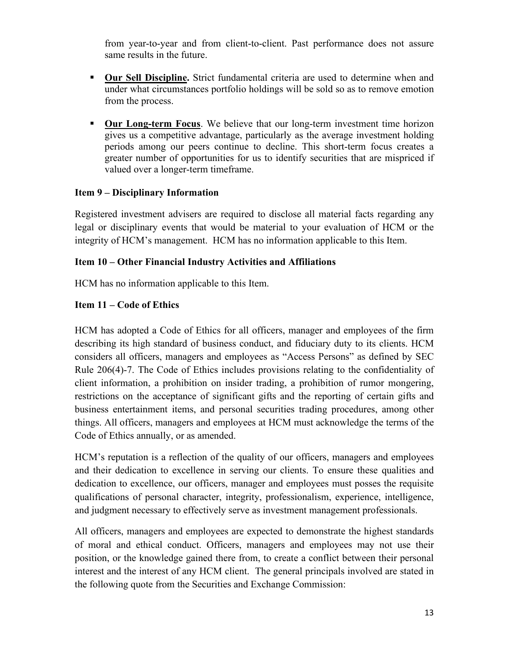from year-to-year and from client-to-client. Past performance does not assure same results in the future.

- **Dur Sell Discipline.** Strict fundamental criteria are used to determine when and under what circumstances portfolio holdings will be sold so as to remove emotion from the process.
- **Our Long-term Focus.** We believe that our long-term investment time horizon gives us a competitive advantage, particularly as the average investment holding periods among our peers continue to decline. This short-term focus creates a greater number of opportunities for us to identify securities that are mispriced if valued over a longer-term timeframe.

## **Item 9 – Disciplinary Information**

Registered investment advisers are required to disclose all material facts regarding any legal or disciplinary events that would be material to your evaluation of HCM or the integrity of HCM's management. HCM has no information applicable to this Item.

## **Item 10 – Other Financial Industry Activities and Affiliations**

HCM has no information applicable to this Item.

## **Item 11 – Code of Ethics**

HCM has adopted a Code of Ethics for all officers, manager and employees of the firm describing its high standard of business conduct, and fiduciary duty to its clients. HCM considers all officers, managers and employees as "Access Persons" as defined by SEC Rule 206(4)-7. The Code of Ethics includes provisions relating to the confidentiality of client information, a prohibition on insider trading, a prohibition of rumor mongering, restrictions on the acceptance of significant gifts and the reporting of certain gifts and business entertainment items, and personal securities trading procedures, among other things. All officers, managers and employees at HCM must acknowledge the terms of the Code of Ethics annually, or as amended.

HCM's reputation is a reflection of the quality of our officers, managers and employees and their dedication to excellence in serving our clients. To ensure these qualities and dedication to excellence, our officers, manager and employees must posses the requisite qualifications of personal character, integrity, professionalism, experience, intelligence, and judgment necessary to effectively serve as investment management professionals.

All officers, managers and employees are expected to demonstrate the highest standards of moral and ethical conduct. Officers, managers and employees may not use their position, or the knowledge gained there from, to create a conflict between their personal interest and the interest of any HCM client. The general principals involved are stated in the following quote from the Securities and Exchange Commission: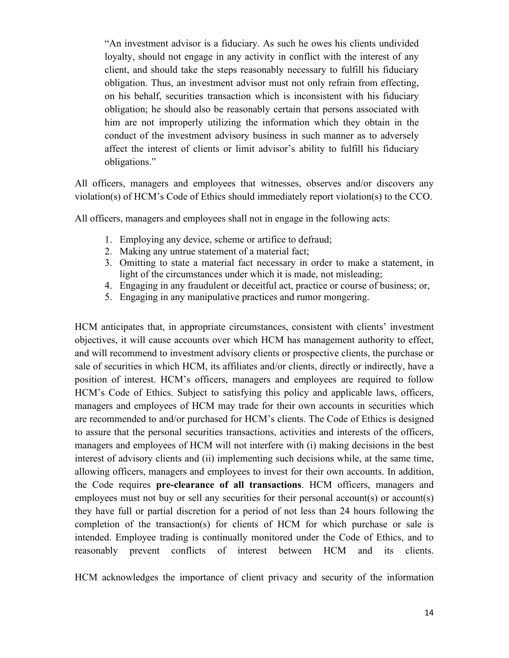"An investment advisor is a fiduciary. As such he owes his clients undivided loyalty, should not engage in any activity in conflict with the interest of any client, and should take the steps reasonably necessary to fulfill his fiduciary obligation. Thus, an investment advisor must not only refrain from effecting, on his behalf, securities transaction which is inconsistent with his fiduciary obligation; he should also be reasonably certain that persons associated with him are not improperly utilizing the information which they obtain in the conduct of the investment advisory business in such manner as to adversely affect the interest of clients or limit advisor's ability to fulfill his fiduciary obligations."

All officers, managers and employees that witnesses, observes and/or discovers any violation(s) of HCM's Code of Ethics should immediately report violation(s) to the CCO.

All officers, managers and employees shall not in engage in the following acts:

- 1. Employing any device, scheme or artifice to defraud;
- 2. Making any untrue statement of a material fact;
- 3. Omitting to state a material fact necessary in order to make a statement, in light of the circumstances under which it is made, not misleading;
- 4. Engaging in any fraudulent or deceitful act, practice or course of business; or,
- 5. Engaging in any manipulative practices and rumor mongering.

HCM anticipates that, in appropriate circumstances, consistent with clients' investment objectives, it will cause accounts over which HCM has management authority to effect, and will recommend to investment advisory clients or prospective clients, the purchase or sale of securities in which HCM, its affiliates and/or clients, directly or indirectly, have a position of interest. HCM's officers, managers and employees are required to follow HCM's Code of Ethics. Subject to satisfying this policy and applicable laws, officers, managers and employees of HCM may trade for their own accounts in securities which are recommended to and/or purchased for HCM's clients. The Code of Ethics is designed to assure that the personal securities transactions, activities and interests of the officers, managers and employees of HCM will not interfere with (i) making decisions in the best interest of advisory clients and (ii) implementing such decisions while, at the same time, allowing officers, managers and employees to invest for their own accounts. In addition, the Code requires **pre-clearance of all transactions**. HCM officers, managers and employees must not buy or sell any securities for their personal account(s) or account(s) they have full or partial discretion for a period of not less than 24 hours following the completion of the transaction(s) for clients of HCM for which purchase or sale is intended. Employee trading is continually monitored under the Code of Ethics, and to reasonably prevent conflicts of interest between HCM and its clients.

HCM acknowledges the importance of client privacy and security of the information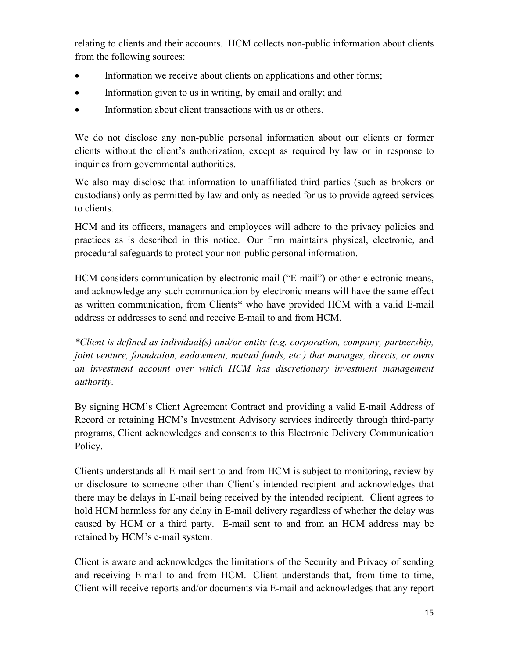relating to clients and their accounts. HCM collects non-public information about clients from the following sources:

- Information we receive about clients on applications and other forms;
- Information given to us in writing, by email and orally; and
- Information about client transactions with us or others.

We do not disclose any non-public personal information about our clients or former clients without the client's authorization, except as required by law or in response to inquiries from governmental authorities.

We also may disclose that information to unaffiliated third parties (such as brokers or custodians) only as permitted by law and only as needed for us to provide agreed services to clients.

HCM and its officers, managers and employees will adhere to the privacy policies and practices as is described in this notice. Our firm maintains physical, electronic, and procedural safeguards to protect your non-public personal information.

HCM considers communication by electronic mail ("E-mail") or other electronic means, and acknowledge any such communication by electronic means will have the same effect as written communication, from Clients\* who have provided HCM with a valid E-mail address or addresses to send and receive E-mail to and from HCM.

*\*Client is defined as individual(s) and/or entity (e.g. corporation, company, partnership, joint venture, foundation, endowment, mutual funds, etc.) that manages, directs, or owns an investment account over which HCM has discretionary investment management authority.*

By signing HCM's Client Agreement Contract and providing a valid E-mail Address of Record or retaining HCM's Investment Advisory services indirectly through third-party programs, Client acknowledges and consents to this Electronic Delivery Communication Policy.

Clients understands all E-mail sent to and from HCM is subject to monitoring, review by or disclosure to someone other than Client's intended recipient and acknowledges that there may be delays in E-mail being received by the intended recipient. Client agrees to hold HCM harmless for any delay in E-mail delivery regardless of whether the delay was caused by HCM or a third party. E-mail sent to and from an HCM address may be retained by HCM's e-mail system.

Client is aware and acknowledges the limitations of the Security and Privacy of sending and receiving E-mail to and from HCM. Client understands that, from time to time, Client will receive reports and/or documents via E-mail and acknowledges that any report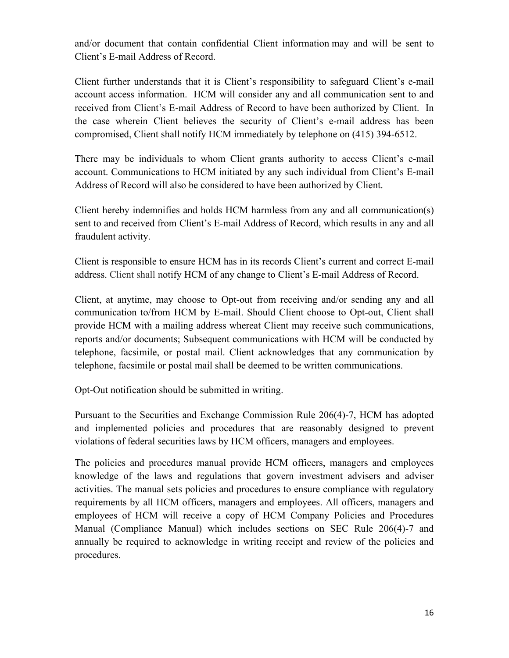and/or document that contain confidential Client information may and will be sent to Client's E-mail Address of Record.

Client further understands that it is Client's responsibility to safeguard Client's e-mail account access information. HCM will consider any and all communication sent to and received from Client's E-mail Address of Record to have been authorized by Client. In the case wherein Client believes the security of Client's e-mail address has been compromised, Client shall notify HCM immediately by telephone on (415) 394-6512.

There may be individuals to whom Client grants authority to access Client's e-mail account. Communications to HCM initiated by any such individual from Client's E-mail Address of Record will also be considered to have been authorized by Client.

Client hereby indemnifies and holds HCM harmless from any and all communication(s) sent to and received from Client's E-mail Address of Record, which results in any and all fraudulent activity.

Client is responsible to ensure HCM has in its records Client's current and correct E-mail address. Client shall notify HCM of any change to Client's E-mail Address of Record.

Client, at anytime, may choose to Opt-out from receiving and/or sending any and all communication to/from HCM by E-mail. Should Client choose to Opt-out, Client shall provide HCM with a mailing address whereat Client may receive such communications, reports and/or documents; Subsequent communications with HCM will be conducted by telephone, facsimile, or postal mail. Client acknowledges that any communication by telephone, facsimile or postal mail shall be deemed to be written communications.

Opt-Out notification should be submitted in writing.

Pursuant to the Securities and Exchange Commission Rule 206(4)-7, HCM has adopted and implemented policies and procedures that are reasonably designed to prevent violations of federal securities laws by HCM officers, managers and employees.

The policies and procedures manual provide HCM officers, managers and employees knowledge of the laws and regulations that govern investment advisers and adviser activities. The manual sets policies and procedures to ensure compliance with regulatory requirements by all HCM officers, managers and employees. All officers, managers and employees of HCM will receive a copy of HCM Company Policies and Procedures Manual (Compliance Manual) which includes sections on SEC Rule 206(4)-7 and annually be required to acknowledge in writing receipt and review of the policies and procedures.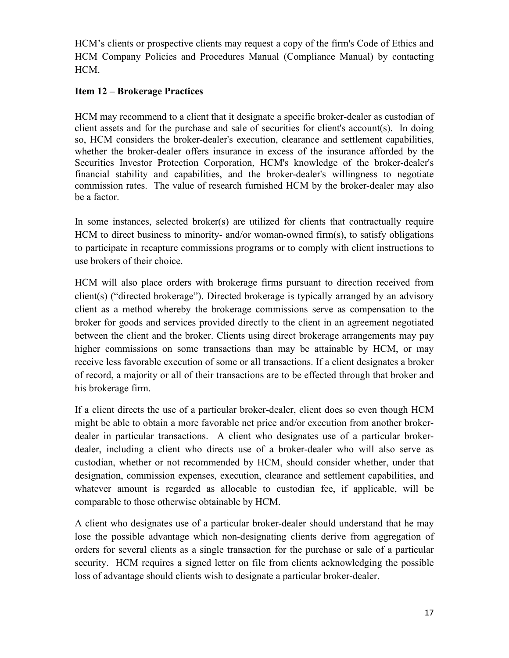HCM's clients or prospective clients may request a copy of the firm's Code of Ethics and HCM Company Policies and Procedures Manual (Compliance Manual) by contacting HCM.

## **Item 12 – Brokerage Practices**

HCM may recommend to a client that it designate a specific broker-dealer as custodian of client assets and for the purchase and sale of securities for client's account(s). In doing so, HCM considers the broker-dealer's execution, clearance and settlement capabilities, whether the broker-dealer offers insurance in excess of the insurance afforded by the Securities Investor Protection Corporation, HCM's knowledge of the broker-dealer's financial stability and capabilities, and the broker-dealer's willingness to negotiate commission rates. The value of research furnished HCM by the broker-dealer may also be a factor.

In some instances, selected broker(s) are utilized for clients that contractually require HCM to direct business to minority- and/or woman-owned firm(s), to satisfy obligations to participate in recapture commissions programs or to comply with client instructions to use brokers of their choice.

HCM will also place orders with brokerage firms pursuant to direction received from client(s) ("directed brokerage"). Directed brokerage is typically arranged by an advisory client as a method whereby the brokerage commissions serve as compensation to the broker for goods and services provided directly to the client in an agreement negotiated between the client and the broker. Clients using direct brokerage arrangements may pay higher commissions on some transactions than may be attainable by HCM, or may receive less favorable execution of some or all transactions. If a client designates a broker of record, a majority or all of their transactions are to be effected through that broker and his brokerage firm.

If a client directs the use of a particular broker-dealer, client does so even though HCM might be able to obtain a more favorable net price and/or execution from another brokerdealer in particular transactions. A client who designates use of a particular brokerdealer, including a client who directs use of a broker-dealer who will also serve as custodian, whether or not recommended by HCM, should consider whether, under that designation, commission expenses, execution, clearance and settlement capabilities, and whatever amount is regarded as allocable to custodian fee, if applicable, will be comparable to those otherwise obtainable by HCM.

A client who designates use of a particular broker-dealer should understand that he may lose the possible advantage which non-designating clients derive from aggregation of orders for several clients as a single transaction for the purchase or sale of a particular security. HCM requires a signed letter on file from clients acknowledging the possible loss of advantage should clients wish to designate a particular broker-dealer.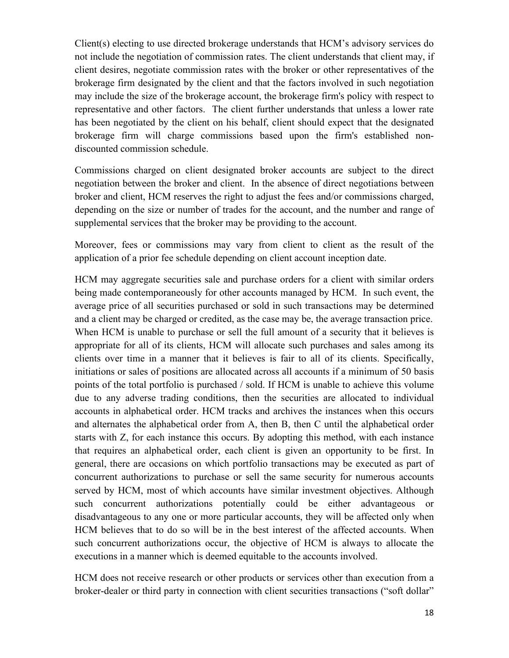Client(s) electing to use directed brokerage understands that HCM's advisory services do not include the negotiation of commission rates. The client understands that client may, if client desires, negotiate commission rates with the broker or other representatives of the brokerage firm designated by the client and that the factors involved in such negotiation may include the size of the brokerage account, the brokerage firm's policy with respect to representative and other factors. The client further understands that unless a lower rate has been negotiated by the client on his behalf, client should expect that the designated brokerage firm will charge commissions based upon the firm's established nondiscounted commission schedule.

Commissions charged on client designated broker accounts are subject to the direct negotiation between the broker and client. In the absence of direct negotiations between broker and client, HCM reserves the right to adjust the fees and/or commissions charged, depending on the size or number of trades for the account, and the number and range of supplemental services that the broker may be providing to the account.

Moreover, fees or commissions may vary from client to client as the result of the application of a prior fee schedule depending on client account inception date.

HCM may aggregate securities sale and purchase orders for a client with similar orders being made contemporaneously for other accounts managed by HCM. In such event, the average price of all securities purchased or sold in such transactions may be determined and a client may be charged or credited, as the case may be, the average transaction price. When HCM is unable to purchase or sell the full amount of a security that it believes is appropriate for all of its clients, HCM will allocate such purchases and sales among its clients over time in a manner that it believes is fair to all of its clients. Specifically, initiations or sales of positions are allocated across all accounts if a minimum of 50 basis points of the total portfolio is purchased / sold. If HCM is unable to achieve this volume due to any adverse trading conditions, then the securities are allocated to individual accounts in alphabetical order. HCM tracks and archives the instances when this occurs and alternates the alphabetical order from A, then B, then C until the alphabetical order starts with Z, for each instance this occurs. By adopting this method, with each instance that requires an alphabetical order, each client is given an opportunity to be first. In general, there are occasions on which portfolio transactions may be executed as part of concurrent authorizations to purchase or sell the same security for numerous accounts served by HCM, most of which accounts have similar investment objectives. Although such concurrent authorizations potentially could be either advantageous or disadvantageous to any one or more particular accounts, they will be affected only when HCM believes that to do so will be in the best interest of the affected accounts. When such concurrent authorizations occur, the objective of HCM is always to allocate the executions in a manner which is deemed equitable to the accounts involved.

HCM does not receive research or other products or services other than execution from a broker-dealer or third party in connection with client securities transactions ("soft dollar"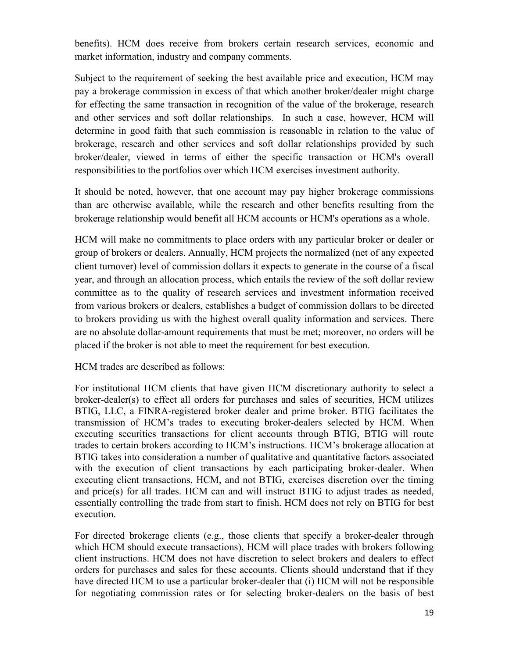benefits). HCM does receive from brokers certain research services, economic and market information, industry and company comments.

Subject to the requirement of seeking the best available price and execution, HCM may pay a brokerage commission in excess of that which another broker/dealer might charge for effecting the same transaction in recognition of the value of the brokerage, research and other services and soft dollar relationships. In such a case, however, HCM will determine in good faith that such commission is reasonable in relation to the value of brokerage, research and other services and soft dollar relationships provided by such broker/dealer, viewed in terms of either the specific transaction or HCM's overall responsibilities to the portfolios over which HCM exercises investment authority.

It should be noted, however, that one account may pay higher brokerage commissions than are otherwise available, while the research and other benefits resulting from the brokerage relationship would benefit all HCM accounts or HCM's operations as a whole.

HCM will make no commitments to place orders with any particular broker or dealer or group of brokers or dealers. Annually, HCM projects the normalized (net of any expected client turnover) level of commission dollars it expects to generate in the course of a fiscal year, and through an allocation process, which entails the review of the soft dollar review committee as to the quality of research services and investment information received from various brokers or dealers, establishes a budget of commission dollars to be directed to brokers providing us with the highest overall quality information and services. There are no absolute dollar-amount requirements that must be met; moreover, no orders will be placed if the broker is not able to meet the requirement for best execution.

HCM trades are described as follows:

For institutional HCM clients that have given HCM discretionary authority to select a broker-dealer(s) to effect all orders for purchases and sales of securities, HCM utilizes BTIG, LLC, a FINRA-registered broker dealer and prime broker. BTIG facilitates the transmission of HCM's trades to executing broker-dealers selected by HCM. When executing securities transactions for client accounts through BTIG, BTIG will route trades to certain brokers according to HCM's instructions. HCM's brokerage allocation at BTIG takes into consideration a number of qualitative and quantitative factors associated with the execution of client transactions by each participating broker-dealer. When executing client transactions, HCM, and not BTIG, exercises discretion over the timing and price(s) for all trades. HCM can and will instruct BTIG to adjust trades as needed, essentially controlling the trade from start to finish. HCM does not rely on BTIG for best execution.

For directed brokerage clients (e.g., those clients that specify a broker-dealer through which HCM should execute transactions), HCM will place trades with brokers following client instructions. HCM does not have discretion to select brokers and dealers to effect orders for purchases and sales for these accounts. Clients should understand that if they have directed HCM to use a particular broker-dealer that (i) HCM will not be responsible for negotiating commission rates or for selecting broker-dealers on the basis of best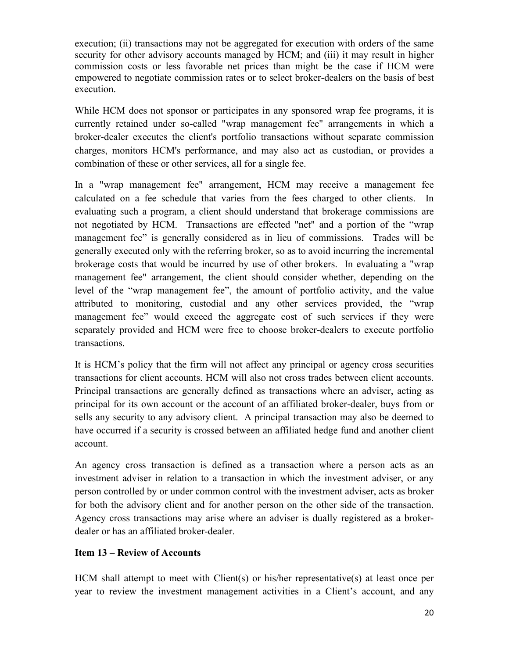execution; (ii) transactions may not be aggregated for execution with orders of the same security for other advisory accounts managed by HCM; and (iii) it may result in higher commission costs or less favorable net prices than might be the case if HCM were empowered to negotiate commission rates or to select broker-dealers on the basis of best execution.

While HCM does not sponsor or participates in any sponsored wrap fee programs, it is currently retained under so-called "wrap management fee" arrangements in which a broker-dealer executes the client's portfolio transactions without separate commission charges, monitors HCM's performance, and may also act as custodian, or provides a combination of these or other services, all for a single fee.

In a "wrap management fee" arrangement, HCM may receive a management fee calculated on a fee schedule that varies from the fees charged to other clients. In evaluating such a program, a client should understand that brokerage commissions are not negotiated by HCM. Transactions are effected "net" and a portion of the "wrap management fee" is generally considered as in lieu of commissions. Trades will be generally executed only with the referring broker, so as to avoid incurring the incremental brokerage costs that would be incurred by use of other brokers. In evaluating a "wrap management fee" arrangement, the client should consider whether, depending on the level of the "wrap management fee", the amount of portfolio activity, and the value attributed to monitoring, custodial and any other services provided, the "wrap management fee" would exceed the aggregate cost of such services if they were separately provided and HCM were free to choose broker-dealers to execute portfolio transactions.

It is HCM's policy that the firm will not affect any principal or agency cross securities transactions for client accounts. HCM will also not cross trades between client accounts. Principal transactions are generally defined as transactions where an adviser, acting as principal for its own account or the account of an affiliated broker-dealer, buys from or sells any security to any advisory client. A principal transaction may also be deemed to have occurred if a security is crossed between an affiliated hedge fund and another client account.

An agency cross transaction is defined as a transaction where a person acts as an investment adviser in relation to a transaction in which the investment adviser, or any person controlled by or under common control with the investment adviser, acts as broker for both the advisory client and for another person on the other side of the transaction. Agency cross transactions may arise where an adviser is dually registered as a brokerdealer or has an affiliated broker-dealer.

## **Item 13 – Review of Accounts**

HCM shall attempt to meet with Client(s) or his/her representative(s) at least once per year to review the investment management activities in a Client's account, and any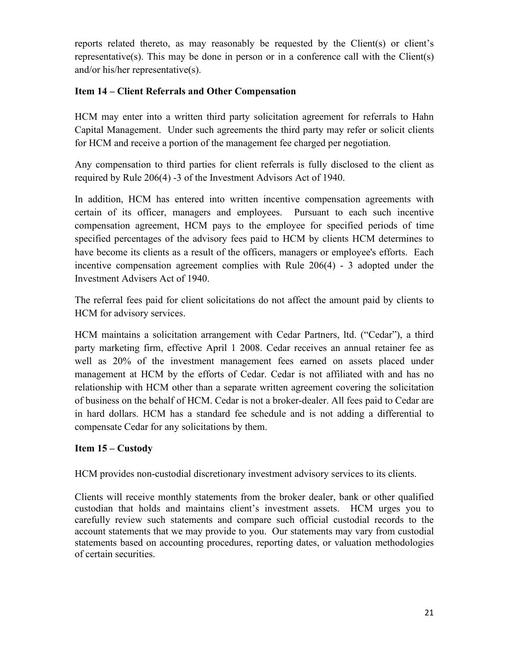reports related thereto, as may reasonably be requested by the Client(s) or client's representative(s). This may be done in person or in a conference call with the Client(s) and/or his/her representative(s).

## **Item 14 – Client Referrals and Other Compensation**

HCM may enter into a written third party solicitation agreement for referrals to Hahn Capital Management. Under such agreements the third party may refer or solicit clients for HCM and receive a portion of the management fee charged per negotiation.

Any compensation to third parties for client referrals is fully disclosed to the client as required by Rule 206(4) -3 of the Investment Advisors Act of 1940.

In addition, HCM has entered into written incentive compensation agreements with certain of its officer, managers and employees. Pursuant to each such incentive compensation agreement, HCM pays to the employee for specified periods of time specified percentages of the advisory fees paid to HCM by clients HCM determines to have become its clients as a result of the officers, managers or employee's efforts. Each incentive compensation agreement complies with Rule 206(4) - 3 adopted under the Investment Advisers Act of 1940.

The referral fees paid for client solicitations do not affect the amount paid by clients to HCM for advisory services.

HCM maintains a solicitation arrangement with Cedar Partners, ltd. ("Cedar"), a third party marketing firm, effective April 1 2008. Cedar receives an annual retainer fee as well as 20% of the investment management fees earned on assets placed under management at HCM by the efforts of Cedar. Cedar is not affiliated with and has no relationship with HCM other than a separate written agreement covering the solicitation of business on the behalf of HCM. Cedar is not a broker-dealer. All fees paid to Cedar are in hard dollars. HCM has a standard fee schedule and is not adding a differential to compensate Cedar for any solicitations by them.

## **Item 15 – Custody**

HCM provides non-custodial discretionary investment advisory services to its clients.

Clients will receive monthly statements from the broker dealer, bank or other qualified custodian that holds and maintains client's investment assets. HCM urges you to carefully review such statements and compare such official custodial records to the account statements that we may provide to you. Our statements may vary from custodial statements based on accounting procedures, reporting dates, or valuation methodologies of certain securities.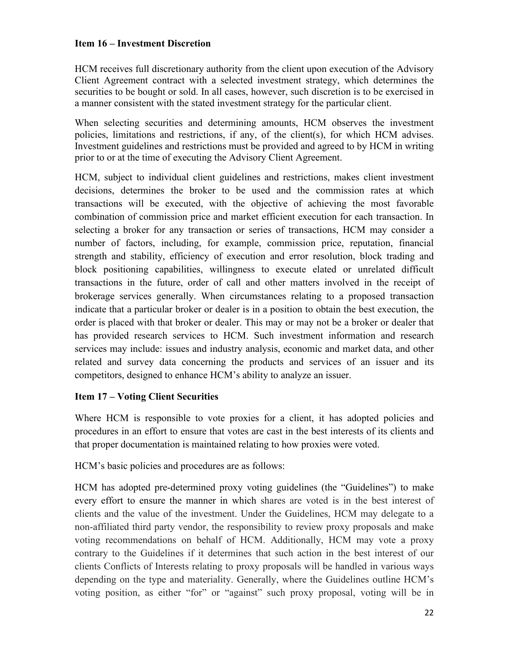## **Item 16 – Investment Discretion**

HCM receives full discretionary authority from the client upon execution of the Advisory Client Agreement contract with a selected investment strategy, which determines the securities to be bought or sold. In all cases, however, such discretion is to be exercised in a manner consistent with the stated investment strategy for the particular client.

When selecting securities and determining amounts, HCM observes the investment policies, limitations and restrictions, if any, of the client(s), for which HCM advises. Investment guidelines and restrictions must be provided and agreed to by HCM in writing prior to or at the time of executing the Advisory Client Agreement.

HCM, subject to individual client guidelines and restrictions, makes client investment decisions, determines the broker to be used and the commission rates at which transactions will be executed, with the objective of achieving the most favorable combination of commission price and market efficient execution for each transaction. In selecting a broker for any transaction or series of transactions, HCM may consider a number of factors, including, for example, commission price, reputation, financial strength and stability, efficiency of execution and error resolution, block trading and block positioning capabilities, willingness to execute elated or unrelated difficult transactions in the future, order of call and other matters involved in the receipt of brokerage services generally. When circumstances relating to a proposed transaction indicate that a particular broker or dealer is in a position to obtain the best execution, the order is placed with that broker or dealer. This may or may not be a broker or dealer that has provided research services to HCM. Such investment information and research services may include: issues and industry analysis, economic and market data, and other related and survey data concerning the products and services of an issuer and its competitors, designed to enhance HCM's ability to analyze an issuer.

## **Item 17 – Voting Client Securities**

Where HCM is responsible to vote proxies for a client, it has adopted policies and procedures in an effort to ensure that votes are cast in the best interests of its clients and that proper documentation is maintained relating to how proxies were voted.

HCM's basic policies and procedures are as follows:

HCM has adopted pre-determined proxy voting guidelines (the "Guidelines") to make every effort to ensure the manner in which shares are voted is in the best interest of clients and the value of the investment. Under the Guidelines, HCM may delegate to a non-affiliated third party vendor, the responsibility to review proxy proposals and make voting recommendations on behalf of HCM. Additionally, HCM may vote a proxy contrary to the Guidelines if it determines that such action in the best interest of our clients Conflicts of Interests relating to proxy proposals will be handled in various ways depending on the type and materiality. Generally, where the Guidelines outline HCM's voting position, as either "for" or "against" such proxy proposal, voting will be in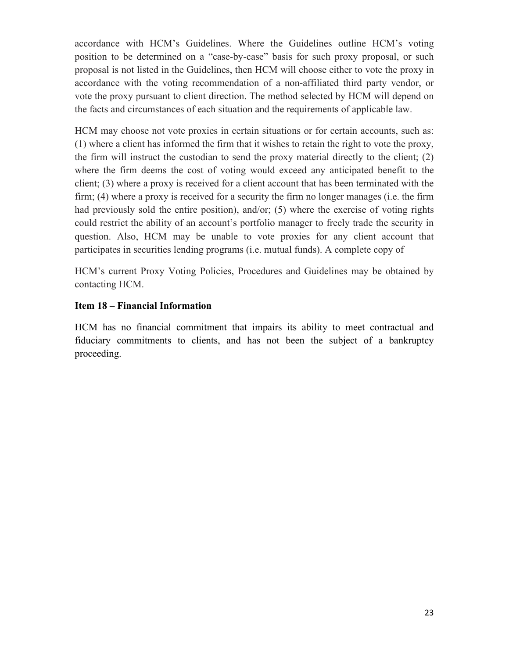accordance with HCM's Guidelines. Where the Guidelines outline HCM's voting position to be determined on a "case-by-case" basis for such proxy proposal, or such proposal is not listed in the Guidelines, then HCM will choose either to vote the proxy in accordance with the voting recommendation of a non-affiliated third party vendor, or vote the proxy pursuant to client direction. The method selected by HCM will depend on the facts and circumstances of each situation and the requirements of applicable law.

HCM may choose not vote proxies in certain situations or for certain accounts, such as: (1) where a client has informed the firm that it wishes to retain the right to vote the proxy, the firm will instruct the custodian to send the proxy material directly to the client; (2) where the firm deems the cost of voting would exceed any anticipated benefit to the client; (3) where a proxy is received for a client account that has been terminated with the firm; (4) where a proxy is received for a security the firm no longer manages (i.e. the firm had previously sold the entire position), and/or; (5) where the exercise of voting rights could restrict the ability of an account's portfolio manager to freely trade the security in question. Also, HCM may be unable to vote proxies for any client account that participates in securities lending programs (i.e. mutual funds). A complete copy of

HCM's current Proxy Voting Policies, Procedures and Guidelines may be obtained by contacting HCM.

## **Item 18 – Financial Information**

HCM has no financial commitment that impairs its ability to meet contractual and fiduciary commitments to clients, and has not been the subject of a bankruptcy proceeding.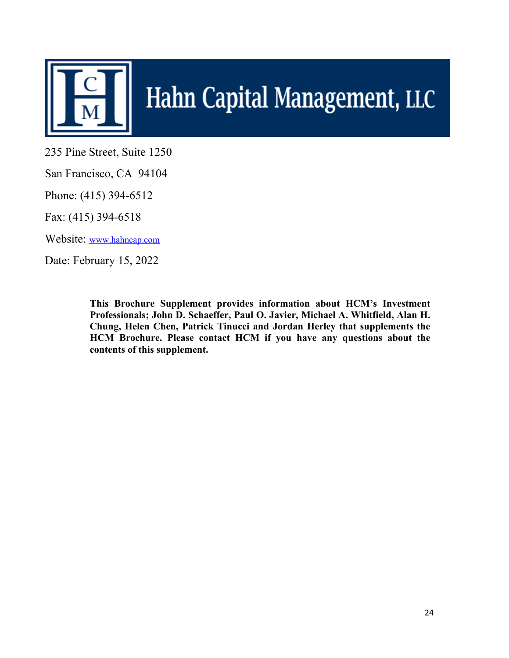

# Hahn Capital Management, LLC

235 Pine Street, Suite 1250

San Francisco, CA 94104

Phone: (415) 394-6512

Fax: (415) 394-6518

Website: [www.hahncap.com](http://www.hahncap.com/)

Date: February 15, 2022

**This Brochure Supplement provides information about HCM's Investment Professionals; John D. Schaeffer, Paul O. Javier, Michael A. Whitfield, Alan H. Chung, Helen Chen, Patrick Tinucci and Jordan Herley that supplements the HCM Brochure. Please contact HCM if you have any questions about the contents of this supplement.**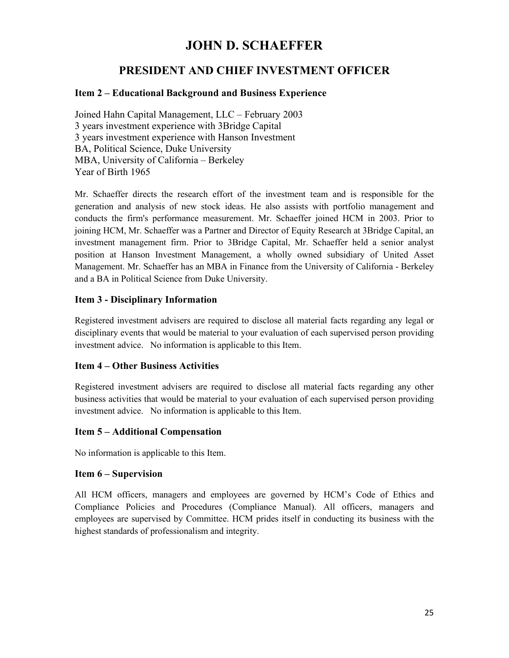# **JOHN D. SCHAEFFER**

# **PRESIDENT AND CHIEF INVESTMENT OFFICER**

## **Item 2 – Educational Background and Business Experience**

Joined Hahn Capital Management, LLC – February 2003 3 years investment experience with 3Bridge Capital 3 years investment experience with Hanson Investment BA, Political Science, Duke University MBA, University of California – Berkeley Year of Birth 1965

Mr. Schaeffer directs the research effort of the investment team and is responsible for the generation and analysis of new stock ideas. He also assists with portfolio management and conducts the firm's performance measurement. Mr. Schaeffer joined HCM in 2003. Prior to joining HCM, Mr. Schaeffer was a Partner and Director of Equity Research at 3Bridge Capital, an investment management firm. Prior to 3Bridge Capital, Mr. Schaeffer held a senior analyst position at Hanson Investment Management, a wholly owned subsidiary of United Asset Management. Mr. Schaeffer has an MBA in Finance from the University of California - Berkeley and a BA in Political Science from Duke University.

## **Item 3 - Disciplinary Information**

Registered investment advisers are required to disclose all material facts regarding any legal or disciplinary events that would be material to your evaluation of each supervised person providing investment advice. No information is applicable to this Item.

## **Item 4 – Other Business Activities**

Registered investment advisers are required to disclose all material facts regarding any other business activities that would be material to your evaluation of each supervised person providing investment advice. No information is applicable to this Item.

## **Item 5 – Additional Compensation**

No information is applicable to this Item.

## **Item 6 – Supervision**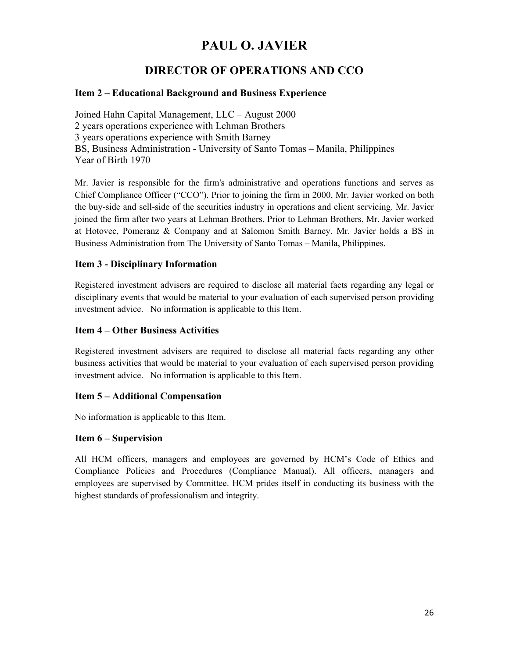# **PAUL O. JAVIER**

# **DIRECTOR OF OPERATIONS AND CCO**

## **Item 2 – Educational Background and Business Experience**

Joined Hahn Capital Management, LLC – August 2000 2 years operations experience with Lehman Brothers 3 years operations experience with Smith Barney BS, Business Administration - University of Santo Tomas – Manila, Philippines Year of Birth 1970

Mr. Javier is responsible for the firm's administrative and operations functions and serves as Chief Compliance Officer ("CCO"). Prior to joining the firm in 2000, Mr. Javier worked on both the buy-side and sell-side of the securities industry in operations and client servicing. Mr. Javier joined the firm after two years at Lehman Brothers. Prior to Lehman Brothers, Mr. Javier worked at Hotovec, Pomeranz & Company and at Salomon Smith Barney. Mr. Javier holds a BS in Business Administration from The University of Santo Tomas – Manila, Philippines.

## **Item 3 - Disciplinary Information**

Registered investment advisers are required to disclose all material facts regarding any legal or disciplinary events that would be material to your evaluation of each supervised person providing investment advice. No information is applicable to this Item.

## **Item 4 – Other Business Activities**

Registered investment advisers are required to disclose all material facts regarding any other business activities that would be material to your evaluation of each supervised person providing investment advice. No information is applicable to this Item.

## **Item 5 – Additional Compensation**

No information is applicable to this Item.

## **Item 6 – Supervision**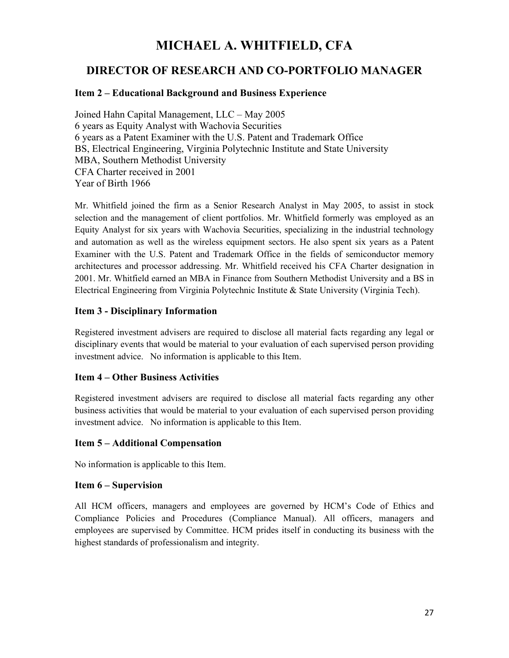# **MICHAEL A. WHITFIELD, CFA**

# **DIRECTOR OF RESEARCH AND CO-PORTFOLIO MANAGER**

## **Item 2 – Educational Background and Business Experience**

Joined Hahn Capital Management, LLC – May 2005 6 years as Equity Analyst with Wachovia Securities 6 years as a Patent Examiner with the U.S. Patent and Trademark Office BS, Electrical Engineering, Virginia Polytechnic Institute and State University MBA, Southern Methodist University CFA Charter received in 2001 Year of Birth 1966

Mr. Whitfield joined the firm as a Senior Research Analyst in May 2005, to assist in stock selection and the management of client portfolios. Mr. Whitfield formerly was employed as an Equity Analyst for six years with Wachovia Securities, specializing in the industrial technology and automation as well as the wireless equipment sectors. He also spent six years as a Patent Examiner with the U.S. Patent and Trademark Office in the fields of semiconductor memory architectures and processor addressing. Mr. Whitfield received his CFA Charter designation in 2001. Mr. Whitfield earned an MBA in Finance from Southern Methodist University and a BS in Electrical Engineering from Virginia Polytechnic Institute & State University (Virginia Tech).

## **Item 3 - Disciplinary Information**

Registered investment advisers are required to disclose all material facts regarding any legal or disciplinary events that would be material to your evaluation of each supervised person providing investment advice. No information is applicable to this Item.

## **Item 4 – Other Business Activities**

Registered investment advisers are required to disclose all material facts regarding any other business activities that would be material to your evaluation of each supervised person providing investment advice. No information is applicable to this Item.

## **Item 5 – Additional Compensation**

No information is applicable to this Item.

## **Item 6 – Supervision**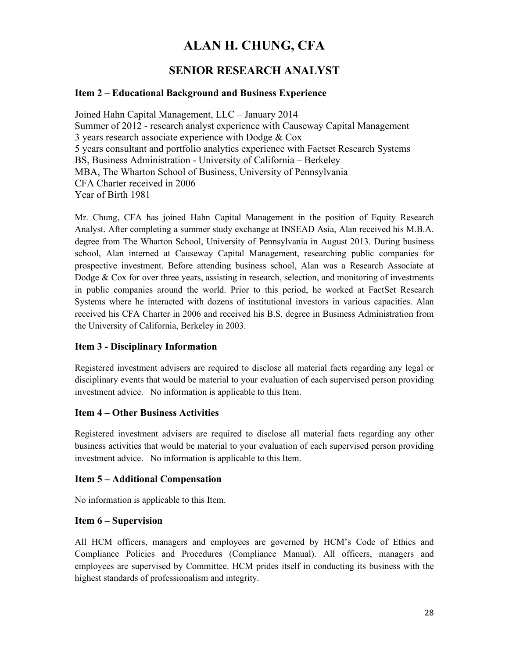# **ALAN H. CHUNG, CFA**

# **SENIOR RESEARCH ANALYST**

## **Item 2 – Educational Background and Business Experience**

Joined Hahn Capital Management, LLC – January 2014 Summer of 2012 - research analyst experience with Causeway Capital Management 3 years research associate experience with Dodge & Cox 5 years consultant and portfolio analytics experience with Factset Research Systems BS, Business Administration - University of California – Berkeley MBA, The Wharton School of Business, University of Pennsylvania CFA Charter received in 2006 Year of Birth 1981

Mr. Chung, CFA has joined Hahn Capital Management in the position of Equity Research Analyst. After completing a summer study exchange at INSEAD Asia, Alan received his M.B.A. degree from The Wharton School, University of Pennsylvania in August 2013. During business school, Alan interned at Causeway Capital Management, researching public companies for prospective investment. Before attending business school, Alan was a Research Associate at Dodge  $&$  Cox for over three years, assisting in research, selection, and monitoring of investments in public companies around the world. Prior to this period, he worked at FactSet Research Systems where he interacted with dozens of institutional investors in various capacities. Alan received his CFA Charter in 2006 and received his B.S. degree in Business Administration from the University of California, Berkeley in 2003.

## **Item 3 - Disciplinary Information**

Registered investment advisers are required to disclose all material facts regarding any legal or disciplinary events that would be material to your evaluation of each supervised person providing investment advice. No information is applicable to this Item.

## **Item 4 – Other Business Activities**

Registered investment advisers are required to disclose all material facts regarding any other business activities that would be material to your evaluation of each supervised person providing investment advice. No information is applicable to this Item.

## **Item 5 – Additional Compensation**

No information is applicable to this Item.

## **Item 6 – Supervision**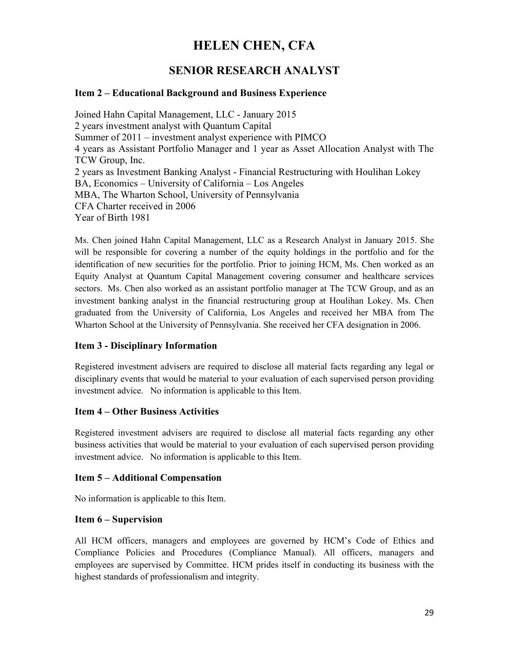# **HELEN CHEN, CFA**

# **SENIOR RESEARCH ANALYST**

## **Item 2 – Educational Background and Business Experience**

Joined Hahn Capital Management, LLC - January 2015 2 years investment analyst with Quantum Capital Summer of 2011 – investment analyst experience with PIMCO 4 years as Assistant Portfolio Manager and 1 year as Asset Allocation Analyst with The TCW Group, Inc. 2 years as Investment Banking Analyst - Financial Restructuring with Houlihan Lokey BA, Economics – University of California – Los Angeles MBA, The Wharton School, University of Pennsylvania CFA Charter received in 2006 Year of Birth 1981

Ms. Chen joined Hahn Capital Management, LLC as a Research Analyst in January 2015. She will be responsible for covering a number of the equity holdings in the portfolio and for the identification of new securities for the portfolio. Prior to joining HCM, Ms. Chen worked as an Equity Analyst at Quantum Capital Management covering consumer and healthcare services sectors. Ms. Chen also worked as an assistant portfolio manager at The TCW Group, and as an investment banking analyst in the financial restructuring group at Houlihan Lokey. Ms. Chen graduated from the University of California, Los Angeles and received her MBA from The Wharton School at the University of Pennsylvania. She received her CFA designation in 2006.

## **Item 3 - Disciplinary Information**

Registered investment advisers are required to disclose all material facts regarding any legal or disciplinary events that would be material to your evaluation of each supervised person providing investment advice. No information is applicable to this Item.

## **Item 4 – Other Business Activities**

Registered investment advisers are required to disclose all material facts regarding any other business activities that would be material to your evaluation of each supervised person providing investment advice. No information is applicable to this Item.

## **Item 5 – Additional Compensation**

No information is applicable to this Item.

## **Item 6 – Supervision**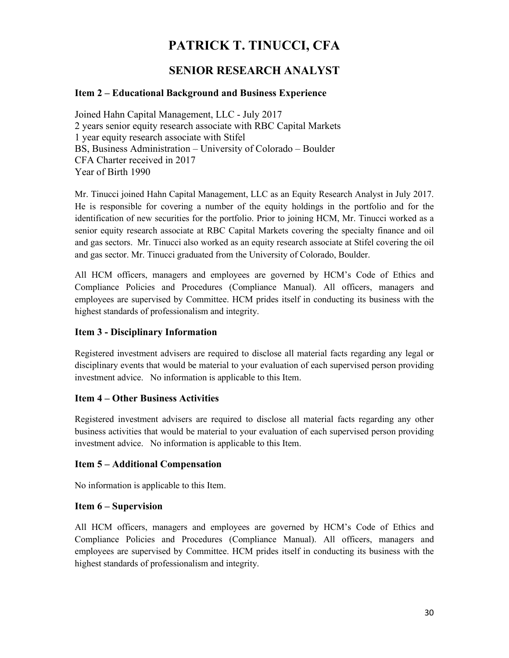# **PATRICK T. TINUCCI, CFA**

# **SENIOR RESEARCH ANALYST**

## **Item 2 – Educational Background and Business Experience**

Joined Hahn Capital Management, LLC - July 2017 2 years senior equity research associate with RBC Capital Markets 1 year equity research associate with Stifel BS, Business Administration – University of Colorado – Boulder CFA Charter received in 2017 Year of Birth 1990

Mr. Tinucci joined Hahn Capital Management, LLC as an Equity Research Analyst in July 2017. He is responsible for covering a number of the equity holdings in the portfolio and for the identification of new securities for the portfolio. Prior to joining HCM, Mr. Tinucci worked as a senior equity research associate at RBC Capital Markets covering the specialty finance and oil and gas sectors. Mr. Tinucci also worked as an equity research associate at Stifel covering the oil and gas sector. Mr. Tinucci graduated from the University of Colorado, Boulder.

All HCM officers, managers and employees are governed by HCM's Code of Ethics and Compliance Policies and Procedures (Compliance Manual). All officers, managers and employees are supervised by Committee. HCM prides itself in conducting its business with the highest standards of professionalism and integrity.

## **Item 3 - Disciplinary Information**

Registered investment advisers are required to disclose all material facts regarding any legal or disciplinary events that would be material to your evaluation of each supervised person providing investment advice. No information is applicable to this Item.

## **Item 4 – Other Business Activities**

Registered investment advisers are required to disclose all material facts regarding any other business activities that would be material to your evaluation of each supervised person providing investment advice. No information is applicable to this Item.

## **Item 5 – Additional Compensation**

No information is applicable to this Item.

## **Item 6 – Supervision**